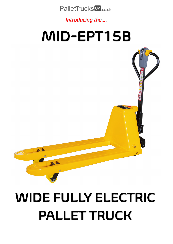**PalletTrucks UK** co.uk

Introducing the....

## MID-EPT15B



A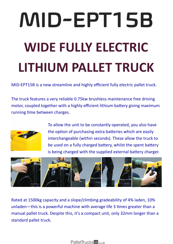## MID-EPT15B **WIDE FULLY ELECTRIC LITHIUM PALLET TRUCK**

MID-EPT15B is a new streamline and highly efficient fully electric pallet truck.

The truck features a very reliable 0.75kw brushless maintenance free driving motor, coupled together with a highly efficient lithium battery giving maximum running time between charges.



To allow the unit to be constantly operated, you also have the option of purchasing extra batteries which are easily interchangeable (within seconds). These allow the truck to be used on a fully charged battery, whilst the spent battery is being charged with the supplied external battery charger.



Rated at 1500kg capacity and a slope/climbing gradeability of 4% laden, 10% unladen—this is a powerful machine with average life 3 times greater than a manual pallet truck. Despite this, it's a compact unit, only 32mm longer than a standard pallet truck.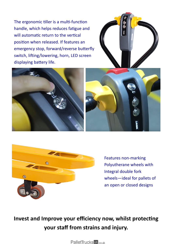The ergonomic tiller is a multi-function handle, which helps reduces fatigue and will automatic return to the vertical position when released. If features an emergency stop, forward/reverse butterfly switch, lifting/lowering, horn, LED screen displaying battery life.









Features non-marking Polyutherane wheels with Integral double fork wheels—ideal for pallets of an open or closed designs

**Invest and Improve your efficiency now, whilst protecting your staff from strains and injury.**

PalletTrucks<sup>UK</sup><sub>co.uk</sub>